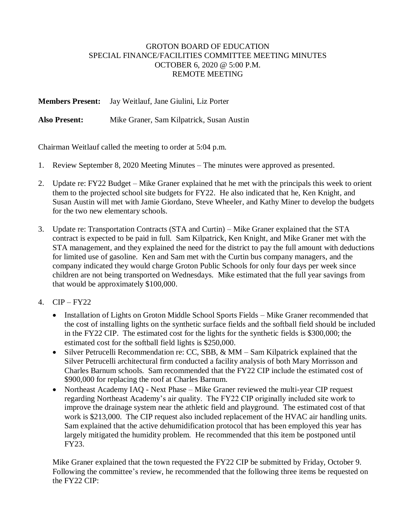## GROTON BOARD OF EDUCATION SPECIAL FINANCE/FACILITIES COMMITTEE MEETING MINUTES OCTOBER 6, 2020 @ 5:00 P.M. REMOTE MEETING

**Members Present:** Jay Weitlauf, Jane Giulini, Liz Porter

**Also Present:** Mike Graner, Sam Kilpatrick, Susan Austin

Chairman Weitlauf called the meeting to order at 5:04 p.m.

- 1. Review September 8, 2020 Meeting Minutes The minutes were approved as presented.
- 2. Update re: FY22 Budget Mike Graner explained that he met with the principals this week to orient them to the projected school site budgets for FY22. He also indicated that he, Ken Knight, and Susan Austin will met with Jamie Giordano, Steve Wheeler, and Kathy Miner to develop the budgets for the two new elementary schools.
- 3. Update re: Transportation Contracts (STA and Curtin) Mike Graner explained that the STA contract is expected to be paid in full. Sam Kilpatrick, Ken Knight, and Mike Graner met with the STA management, and they explained the need for the district to pay the full amount with deductions for limited use of gasoline. Ken and Sam met with the Curtin bus company managers, and the company indicated they would charge Groton Public Schools for only four days per week since children are not being transported on Wednesdays. Mike estimated that the full year savings from that would be approximately \$100,000.
- 4. CIP FY22
	- Installation of Lights on Groton Middle School Sports Fields Mike Graner recommended that the cost of installing lights on the synthetic surface fields and the softball field should be included in the FY22 CIP. The estimated cost for the lights for the synthetic fields is \$300,000; the estimated cost for the softball field lights is \$250,000.
	- Silver Petrucelli Recommendation re: CC, SBB, & MM Sam Kilpatrick explained that the Silver Petrucelli architectural firm conducted a facility analysis of both Mary Morrisson and Charles Barnum schools. Sam recommended that the FY22 CIP include the estimated cost of \$900,000 for replacing the roof at Charles Barnum.
	- Northeast Academy IAQ Next Phase Mike Graner reviewed the multi-year CIP request regarding Northeast Academy's air quality. The FY22 CIP originally included site work to improve the drainage system near the athletic field and playground. The estimated cost of that work is \$213,000. The CIP request also included replacement of the HVAC air handling units. Sam explained that the active dehumidification protocol that has been employed this year has largely mitigated the humidity problem. He recommended that this item be postponed until FY23.

Mike Graner explained that the town requested the FY22 CIP be submitted by Friday, October 9. Following the committee's review, he recommended that the following three items be requested on the FY22 CIP: